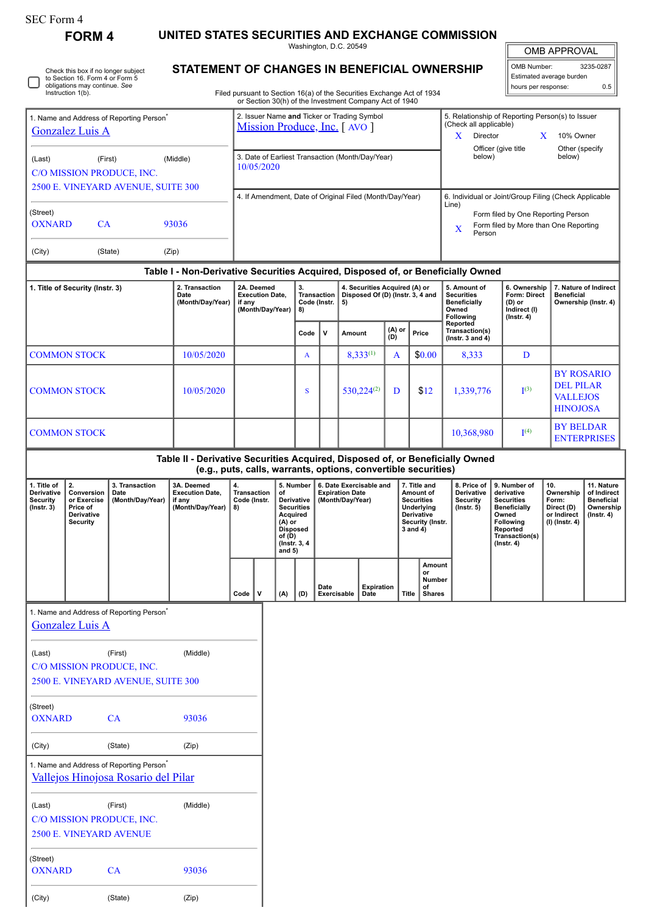OXNARD CA 93036

(City) (State) (Zip)

**FORM 4 UNITED STATES SECURITIES AND EXCHANGE COMMISSION**

|                                                                                                                                                                                                                                                        |                                                                              |                                                                                             |                                                                                                                                                 |                                                                    |                                                                             |                                                                                                                             |                                  |                                  | Washington, D.C. 20549                                                |                                                                             |                                                                                                            |                                                      |                                                                                                                                                    |                                                                                                                                                                             |                                                                                                                                                       | <b>OMB APPROVAL</b>                                                        |                                                                                 |  |
|--------------------------------------------------------------------------------------------------------------------------------------------------------------------------------------------------------------------------------------------------------|------------------------------------------------------------------------------|---------------------------------------------------------------------------------------------|-------------------------------------------------------------------------------------------------------------------------------------------------|--------------------------------------------------------------------|-----------------------------------------------------------------------------|-----------------------------------------------------------------------------------------------------------------------------|----------------------------------|----------------------------------|-----------------------------------------------------------------------|-----------------------------------------------------------------------------|------------------------------------------------------------------------------------------------------------|------------------------------------------------------|----------------------------------------------------------------------------------------------------------------------------------------------------|-----------------------------------------------------------------------------------------------------------------------------------------------------------------------------|-------------------------------------------------------------------------------------------------------------------------------------------------------|----------------------------------------------------------------------------|---------------------------------------------------------------------------------|--|
| STATEMENT OF CHANGES IN BENEFICIAL OWNERSHIP<br>Check this box if no longer subject<br>to Section 16. Form 4 or Form 5<br>obligations may continue. See<br>Instruction 1(b).<br>Filed pursuant to Section 16(a) of the Securities Exchange Act of 1934 |                                                                              |                                                                                             |                                                                                                                                                 |                                                                    |                                                                             |                                                                                                                             |                                  |                                  |                                                                       |                                                                             |                                                                                                            |                                                      |                                                                                                                                                    | 3235-0287<br>OMB Number:<br>Estimated average burden<br>0.5<br>hours per response:                                                                                          |                                                                                                                                                       |                                                                            |                                                                                 |  |
|                                                                                                                                                                                                                                                        |                                                                              |                                                                                             |                                                                                                                                                 |                                                                    |                                                                             |                                                                                                                             |                                  |                                  |                                                                       | or Section 30(h) of the Investment Company Act of 1940                      |                                                                                                            |                                                      |                                                                                                                                                    |                                                                                                                                                                             |                                                                                                                                                       |                                                                            |                                                                                 |  |
| 1. Name and Address of Reporting Person <sup>'</sup><br><b>Gonzalez Luis A</b>                                                                                                                                                                         |                                                                              |                                                                                             |                                                                                                                                                 |                                                                    | 2. Issuer Name and Ticker or Trading Symbol<br>Mission Produce, Inc. [AVO ] |                                                                                                                             |                                  |                                  |                                                                       |                                                                             |                                                                                                            |                                                      |                                                                                                                                                    | 5. Relationship of Reporting Person(s) to Issuer<br>(Check all applicable)<br>X.<br>Director<br>X<br>10% Owner<br>Officer (give title<br>Other (specify<br>below)<br>below) |                                                                                                                                                       |                                                                            |                                                                                 |  |
| (First)<br>(Middle)<br>(Last)<br>C/O MISSION PRODUCE, INC.<br>2500 E. VINEYARD AVENUE, SUITE 300                                                                                                                                                       |                                                                              |                                                                                             |                                                                                                                                                 |                                                                    | 3. Date of Earliest Transaction (Month/Day/Year)<br>10/05/2020              |                                                                                                                             |                                  |                                  |                                                                       |                                                                             |                                                                                                            |                                                      |                                                                                                                                                    |                                                                                                                                                                             |                                                                                                                                                       |                                                                            |                                                                                 |  |
| (Street)<br><b>OXNARD</b><br>CA<br>93036                                                                                                                                                                                                               |                                                                              |                                                                                             |                                                                                                                                                 | 4. If Amendment, Date of Original Filed (Month/Day/Year)           |                                                                             |                                                                                                                             |                                  |                                  |                                                                       |                                                                             |                                                                                                            |                                                      | 6. Individual or Joint/Group Filing (Check Applicable<br>Line)<br>Form filed by One Reporting Person<br>Form filed by More than One Reporting<br>X |                                                                                                                                                                             |                                                                                                                                                       |                                                                            |                                                                                 |  |
| (City)                                                                                                                                                                                                                                                 |                                                                              | (State)                                                                                     | (Zip)                                                                                                                                           |                                                                    |                                                                             |                                                                                                                             |                                  |                                  |                                                                       |                                                                             |                                                                                                            |                                                      | Person                                                                                                                                             |                                                                                                                                                                             |                                                                                                                                                       |                                                                            |                                                                                 |  |
|                                                                                                                                                                                                                                                        |                                                                              |                                                                                             | Table I - Non-Derivative Securities Acquired, Disposed of, or Beneficially Owned                                                                |                                                                    |                                                                             |                                                                                                                             |                                  |                                  |                                                                       |                                                                             |                                                                                                            |                                                      |                                                                                                                                                    |                                                                                                                                                                             |                                                                                                                                                       |                                                                            |                                                                                 |  |
| 1. Title of Security (Instr. 3)                                                                                                                                                                                                                        |                                                                              |                                                                                             | 2. Transaction<br>Date<br>(Month/Day/Year)                                                                                                      | 2A. Deemed<br><b>Execution Date.</b><br>if any<br>(Month/Day/Year) |                                                                             |                                                                                                                             | 3.<br>Code (Instr.<br>8)<br>Code | Transaction<br>v                 | 5)<br>Amount                                                          | 4. Securities Acquired (A) or<br>Disposed Of (D) (Instr. 3, 4 and<br>(A) or |                                                                                                            | Price                                                | 5. Amount of<br><b>Securities</b><br><b>Beneficially</b><br>Owned<br><b>Following</b><br>Reported<br>Transaction(s)                                |                                                                                                                                                                             | 6. Ownership<br>Form: Direct<br>(D) or<br>Indirect (I)<br>$($ Instr. 4 $)$                                                                            |                                                                            | 7. Nature of Indirect<br><b>Beneficial</b><br>Ownership (Instr. 4)              |  |
|                                                                                                                                                                                                                                                        |                                                                              |                                                                                             |                                                                                                                                                 |                                                                    |                                                                             |                                                                                                                             |                                  |                                  |                                                                       |                                                                             | (D)                                                                                                        |                                                      | ( $lnstr. 3 and 4$ )                                                                                                                               |                                                                                                                                                                             |                                                                                                                                                       |                                                                            |                                                                                 |  |
| <b>COMMON STOCK</b><br><b>COMMON STOCK</b>                                                                                                                                                                                                             |                                                                              |                                                                                             | 10/05/2020<br>10/05/2020                                                                                                                        |                                                                    |                                                                             | A<br>S                                                                                                                      |                                  | $8,333^{(1)}$<br>$530,224^{(2)}$ |                                                                       | A<br>D                                                                      | \$0.00<br>\$12                                                                                             | 8,333<br>1,339,776                                   |                                                                                                                                                    | D<br>$I^{(3)}$                                                                                                                                                              | <b>BY ROSARIO</b><br><b>DEL PILAR</b><br><b>VALLEJOS</b>                                                                                              |                                                                            |                                                                                 |  |
|                                                                                                                                                                                                                                                        |                                                                              |                                                                                             |                                                                                                                                                 |                                                                    |                                                                             |                                                                                                                             |                                  |                                  |                                                                       |                                                                             |                                                                                                            |                                                      |                                                                                                                                                    |                                                                                                                                                                             |                                                                                                                                                       | <b>HINOJOSA</b>                                                            |                                                                                 |  |
| <b>COMMON STOCK</b>                                                                                                                                                                                                                                    |                                                                              |                                                                                             |                                                                                                                                                 |                                                                    |                                                                             |                                                                                                                             |                                  |                                  |                                                                       |                                                                             |                                                                                                            |                                                      | 10,368,980                                                                                                                                         |                                                                                                                                                                             | <b>BY BELDAR</b><br><b>ENTERPRISES</b>                                                                                                                |                                                                            |                                                                                 |  |
|                                                                                                                                                                                                                                                        |                                                                              |                                                                                             | Table II - Derivative Securities Acquired, Disposed of, or Beneficially Owned<br>(e.g., puts, calls, warrants, options, convertible securities) |                                                                    |                                                                             |                                                                                                                             |                                  |                                  |                                                                       |                                                                             |                                                                                                            |                                                      |                                                                                                                                                    |                                                                                                                                                                             |                                                                                                                                                       |                                                                            |                                                                                 |  |
| 1. Title of<br>Derivative<br><b>Security</b><br>$($ Instr. 3 $)$                                                                                                                                                                                       | 2.<br>Conversion<br>or Exercise<br>Price of<br>Derivative<br><b>Security</b> | 3. Transaction<br>Date<br>(Month/Day/Year)                                                  | 3A. Deemed<br><b>Execution Date,</b><br>if any<br>(Month/Day/Year)                                                                              | 4.<br><b>Transaction</b><br>Code (Instr.<br>8)                     |                                                                             | 5. Number<br>of<br>Derivative<br><b>Securities</b><br>Acquired<br>(A) or<br>Disposed<br>of (D)<br>(Instr. 3, 4)<br>and $5)$ |                                  |                                  | 6. Date Exercisable and<br><b>Expiration Date</b><br>(Month/Day/Year) |                                                                             | 7. Title and<br>Amount of<br><b>Securities</b><br>Underlying<br>Derivative<br>Security (Instr.<br>3 and 4) |                                                      | 8. Price of<br>Derivative<br><b>Security</b><br>$($ Instr. 5 $)$                                                                                   |                                                                                                                                                                             | 9. Number of<br>derivative<br><b>Securities</b><br><b>Beneficially</b><br>Owned<br><b>Following</b><br>Reported<br>Transaction(s)<br>$($ Instr. 4 $)$ | 10.<br>Ownership<br>Form:<br>Direct (D)<br>or Indirect<br>$(I)$ (Instr. 4) | 11. Nature<br>of Indirect<br><b>Beneficial</b><br>Ownership<br>$($ lnstr. 4 $)$ |  |
|                                                                                                                                                                                                                                                        |                                                                              |                                                                                             |                                                                                                                                                 | $Code \vert$                                                       | v                                                                           | (A)                                                                                                                         | (D)                              | Date<br>Exercisable              |                                                                       | Expiration<br>Date                                                          | <b>Title</b>                                                                                               | <b>Amount</b><br>or<br>Number<br>of<br><b>Shares</b> |                                                                                                                                                    |                                                                                                                                                                             |                                                                                                                                                       |                                                                            |                                                                                 |  |
|                                                                                                                                                                                                                                                        | <b>Gonzalez Luis A</b>                                                       | 1. Name and Address of Reporting Person <sup>*</sup>                                        |                                                                                                                                                 |                                                                    |                                                                             |                                                                                                                             |                                  |                                  |                                                                       |                                                                             |                                                                                                            |                                                      |                                                                                                                                                    |                                                                                                                                                                             |                                                                                                                                                       |                                                                            |                                                                                 |  |
| (Last)                                                                                                                                                                                                                                                 |                                                                              | (First)<br>C/O MISSION PRODUCE, INC.<br>2500 E. VINEYARD AVENUE, SUITE 300                  | (Middle)                                                                                                                                        |                                                                    |                                                                             |                                                                                                                             |                                  |                                  |                                                                       |                                                                             |                                                                                                            |                                                      |                                                                                                                                                    |                                                                                                                                                                             |                                                                                                                                                       |                                                                            |                                                                                 |  |
| (Street)<br><b>OXNARD</b>                                                                                                                                                                                                                              |                                                                              | CA                                                                                          | 93036                                                                                                                                           |                                                                    |                                                                             |                                                                                                                             |                                  |                                  |                                                                       |                                                                             |                                                                                                            |                                                      |                                                                                                                                                    |                                                                                                                                                                             |                                                                                                                                                       |                                                                            |                                                                                 |  |
| (State)<br>(City)                                                                                                                                                                                                                                      |                                                                              | (Zip)                                                                                       |                                                                                                                                                 |                                                                    |                                                                             |                                                                                                                             |                                  |                                  |                                                                       |                                                                             |                                                                                                            |                                                      |                                                                                                                                                    |                                                                                                                                                                             |                                                                                                                                                       |                                                                            |                                                                                 |  |
|                                                                                                                                                                                                                                                        |                                                                              | 1. Name and Address of Reporting Person <sup>®</sup><br>Vallejos Hinojosa Rosario del Pilar |                                                                                                                                                 |                                                                    |                                                                             |                                                                                                                             |                                  |                                  |                                                                       |                                                                             |                                                                                                            |                                                      |                                                                                                                                                    |                                                                                                                                                                             |                                                                                                                                                       |                                                                            |                                                                                 |  |
| (Last)                                                                                                                                                                                                                                                 |                                                                              | (First)<br>C/O MISSION PRODUCE, INC.<br>2500 E. VINEYARD AVENUE                             | (Middle)                                                                                                                                        |                                                                    |                                                                             |                                                                                                                             |                                  |                                  |                                                                       |                                                                             |                                                                                                            |                                                      |                                                                                                                                                    |                                                                                                                                                                             |                                                                                                                                                       |                                                                            |                                                                                 |  |
| (Street)                                                                                                                                                                                                                                               |                                                                              |                                                                                             |                                                                                                                                                 |                                                                    |                                                                             |                                                                                                                             |                                  |                                  |                                                                       |                                                                             |                                                                                                            |                                                      |                                                                                                                                                    |                                                                                                                                                                             |                                                                                                                                                       |                                                                            |                                                                                 |  |